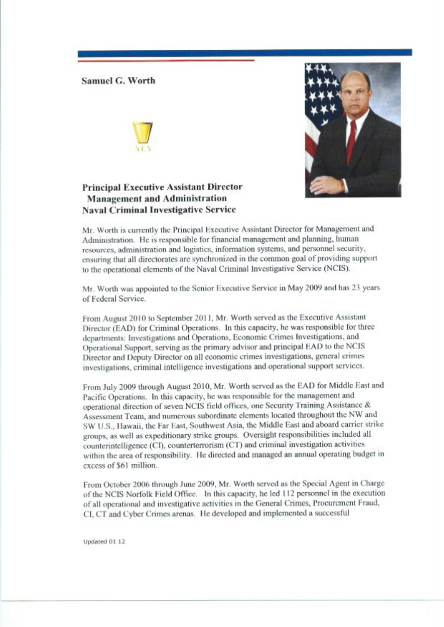## **Samuel G. Worth**

## **Principal Executive Assistant Director Management and Administration Naval Criminal Investigative Service**



Mr. Worth is currently the Principal Executive Assistant Director for Management and Administration. He is responsible for financial management and planning, human resources, administration and logistics, information systems, and personnel security, ensuring that all directorates are synchronized in the common goal of providing support to the operational elements of the Naval Criminal Investigative Service (NCIS).

Mr. Worth was appointed to the Senior Executive Service in May 2009 and has 23 years of Federal Service.

From August 2010 to September 2011, Mr. Worth served as the Executive Assistant Director (EAD) for Criminal Operations. In this capacity, he was responsible for three departments: Investigations and Operations, Economic Crimes Investigations, and Operational Support, serving as the primary advisor and principal EAD to the NCIS Director and Deputy Director on all economic crimes investigations, general crimes investigations, criminal intelligence investigations and operational support services.

From July 2009 through August 2010, Mr. Worth served as the EAD for Middle East and Pacific Operations. In this capacity, he was responsible for the management and operational direction of seven NCIS field offices, one Security Training Assistance & Assessment Team, and numerous subordinate elements located throughout the NW and SW U.S., Hawaii, the Far East, Southwest Asia, the Middle East and aboard carrier strike groups, as well as expeditionary strike groups. Oversight responsibilities included all counterintelligence (CI), counterterrorism (CT) and criminal investigation activities within the area of responsibility. He directed and managed an annual operating budget in excess of \$61 million.

From October 2006 through June 2009, Mr. Worth served as the Special Agent in Charge of the NCIS Norfolk Field Office. In this capacity, he led 112 personnel in the execution of all operational and investigative activities in the General Crimes, Procurement Fraud, CI, CT and Cyber Crimes arenas. He developed and implemented a successful

Updated 01 12